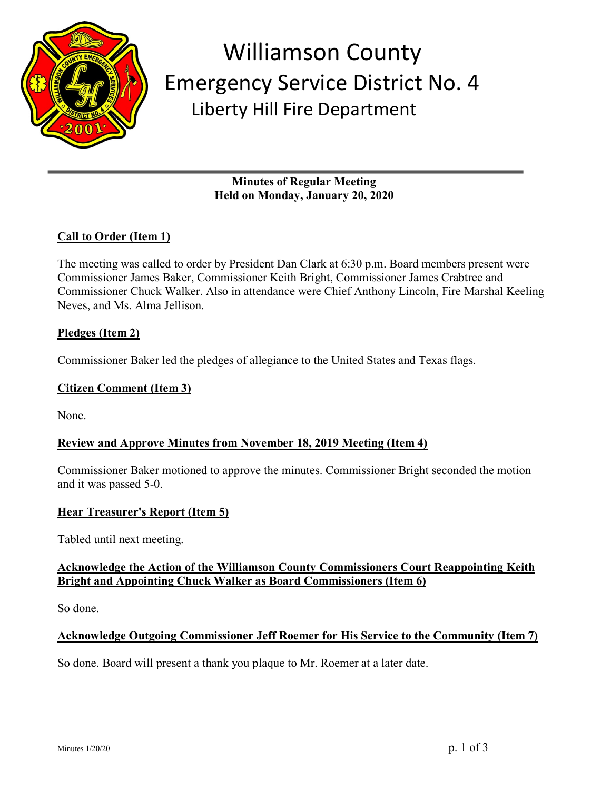

## Williamson County Emergency Service District No. 4 Liberty Hill Fire Department

**Minutes of Regular Meeting Held on Monday, January 20, 2020**

## **Call to Order (Item 1)**

The meeting was called to order by President Dan Clark at 6:30 p.m. Board members present were Commissioner James Baker, Commissioner Keith Bright, Commissioner James Crabtree and Commissioner Chuck Walker. Also in attendance were Chief Anthony Lincoln, Fire Marshal Keeling Neves, and Ms. Alma Jellison.

#### **Pledges (Item 2)**

Commissioner Baker led the pledges of allegiance to the United States and Texas flags.

#### **Citizen Comment (Item 3)**

None.

#### **Review and Approve Minutes from November 18, 2019 Meeting (Item 4)**

Commissioner Baker motioned to approve the minutes. Commissioner Bright seconded the motion and it was passed 5-0.

#### **Hear Treasurer's Report (Item 5)**

Tabled until next meeting.

#### **Acknowledge the Action of the Williamson County Commissioners Court Reappointing Keith Bright and Appointing Chuck Walker as Board Commissioners (Item 6)**

So done.

#### **Acknowledge Outgoing Commissioner Jeff Roemer for His Service to the Community (Item 7)**

So done. Board will present a thank you plaque to Mr. Roemer at a later date.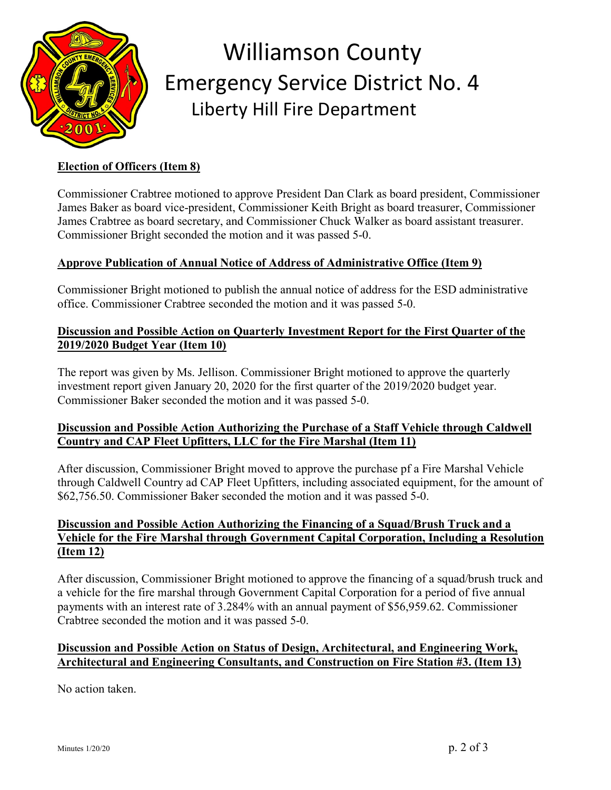

# Williamson County Emergency Service District No. 4 Liberty Hill Fire Department

## **Election of Officers (Item 8)**

Commissioner Crabtree motioned to approve President Dan Clark as board president, Commissioner James Baker as board vice-president, Commissioner Keith Bright as board treasurer, Commissioner James Crabtree as board secretary, and Commissioner Chuck Walker as board assistant treasurer. Commissioner Bright seconded the motion and it was passed 5-0.

#### **Approve Publication of Annual Notice of Address of Administrative Office (Item 9)**

Commissioner Bright motioned to publish the annual notice of address for the ESD administrative office. Commissioner Crabtree seconded the motion and it was passed 5-0.

#### **Discussion and Possible Action on Quarterly Investment Report for the First Quarter of the 2019/2020 Budget Year (Item 10)**

The report was given by Ms. Jellison. Commissioner Bright motioned to approve the quarterly investment report given January 20, 2020 for the first quarter of the 2019/2020 budget year. Commissioner Baker seconded the motion and it was passed 5-0.

#### **Discussion and Possible Action Authorizing the Purchase of a Staff Vehicle through Caldwell Country and CAP Fleet Upfitters, LLC for the Fire Marshal (Item 11)**

After discussion, Commissioner Bright moved to approve the purchase pf a Fire Marshal Vehicle through Caldwell Country ad CAP Fleet Upfitters, including associated equipment, for the amount of \$62,756.50. Commissioner Baker seconded the motion and it was passed 5-0.

#### **Discussion and Possible Action Authorizing the Financing of a Squad/Brush Truck and a Vehicle for the Fire Marshal through Government Capital Corporation, Including a Resolution (Item 12)**

After discussion, Commissioner Bright motioned to approve the financing of a squad/brush truck and a vehicle for the fire marshal through Government Capital Corporation for a period of five annual payments with an interest rate of 3.284% with an annual payment of \$56,959.62. Commissioner Crabtree seconded the motion and it was passed 5-0.

#### **Discussion and Possible Action on Status of Design, Architectural, and Engineering Work, Architectural and Engineering Consultants, and Construction on Fire Station #3. (Item 13)**

No action taken.